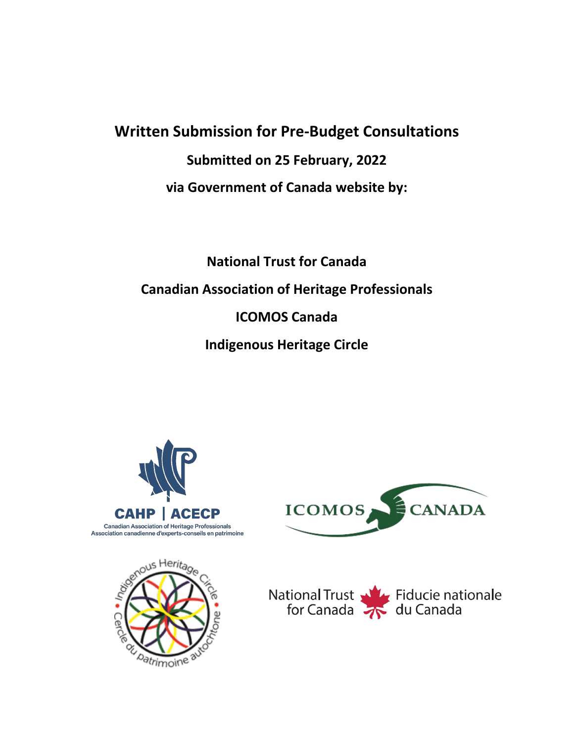# **Written Submission for Pre-Budget Consultations Submitted on 25 February, 2022 via Government of Canada website by:**

**National Trust for Canada Canadian Association of Heritage Professionals ICOMOS Canada Indigenous Heritage Circle**







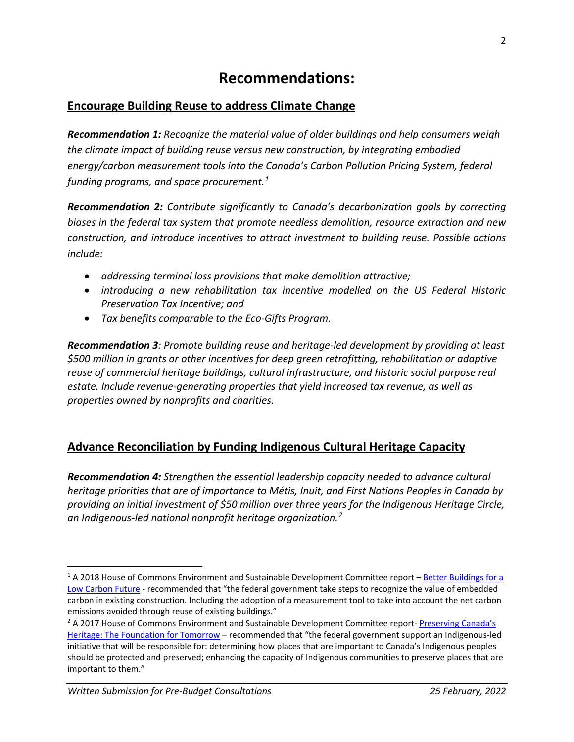### **Recommendations:**

### **Encourage Building Reuse to address Climate Change**

*Recommendation 1: Recognize the material value of older buildings and help consumers weigh the climate impact of building reuse versus new construction, by integrating embodied energy/carbon measurement tools into the Canada's Carbon Pollution Pricing System, federal funding programs, and space procurement.[1](#page-1-0)* 

*Recommendation 2: Contribute significantly to Canada's decarbonization goals by correcting biases in the federal tax system that promote needless demolition, resource extraction and new construction, and introduce incentives to attract investment to building reuse. Possible actions include:* 

- *addressing terminal loss provisions that make demolition attractive;*
- *introducing a new rehabilitation tax incentive modelled on the US Federal Historic Preservation Tax Incentive; and*
- *Tax benefits comparable to the Eco-Gifts Program.*

*Recommendation 3: Promote building reuse and heritage-led development by providing at least \$500 million in grants or other incentives for deep green retrofitting, rehabilitation or adaptive reuse of commercial heritage buildings, cultural infrastructure, and historic social purpose real estate. Include revenue-generating properties that yield increased tax revenue, as well as properties owned by nonprofits and charities.* 

### **Advance Reconciliation by Funding Indigenous Cultural Heritage Capacity**

*Recommendation 4: Strengthen the essential leadership capacity needed to advance cultural heritage priorities that are of importance to Métis, Inuit, and First Nations Peoples in Canada by providing an initial investment of \$50 million over three years for the Indigenous Heritage Circle, an Indigenous-led national nonprofit heritage organization. [2](#page-1-1)*

<span id="page-1-0"></span><sup>&</sup>lt;sup>1</sup> A 2018 House of Commons Environment and Sustainable Development Committee report – Better Buildings for a [Low Carbon Future](https://www.ourcommons.ca/Content/Committee/421/ENVI/Reports/RP9989842/envirp17/envirp17-e.pdf) - recommended that "the federal government take steps to recognize the value of embedded carbon in existing construction. Including the adoption of a measurement tool to take into account the net carbon emissions avoided through reuse of existing buildings."

<span id="page-1-1"></span><sup>&</sup>lt;sup>2</sup> A 2017 House of Commons Environment and Sustainable Development Committee report- Preserving Canada's [Heritage: The Foundation for Tomorrow](https://www.ourcommons.ca/Content/Committee/421/ENVI/Reports/RP9295003/envirp10/envirp10-e.pdf) – recommended that "the federal government support an Indigenous-led initiative that will be responsible for: determining how places that are important to Canada's Indigenous peoples should be protected and preserved; enhancing the capacity of Indigenous communities to preserve places that are important to them."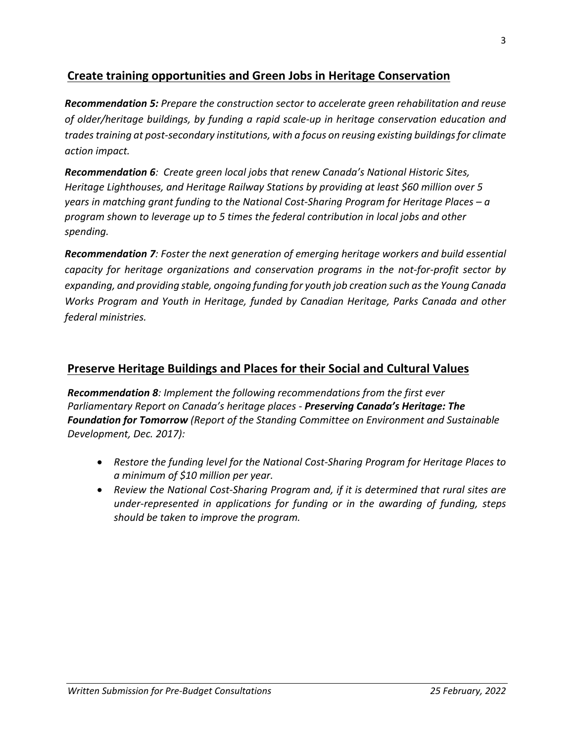### **Create training opportunities and Green Jobs in Heritage Conservation**

*Recommendation 5: Prepare the construction sector to accelerate green rehabilitation and reuse of older/heritage buildings, by funding a rapid scale-up in heritage conservation education and trades training at post-secondary institutions, with a focus on reusing existing buildings for climate action impact.*

*Recommendation 6: Create green local jobs that renew Canada's National Historic Sites, Heritage Lighthouses, and Heritage Railway Stations by providing at least \$60 million over 5 years in matching grant funding to the National Cost-Sharing Program for Heritage Places – a program shown to leverage up to 5 times the federal contribution in local jobs and other spending.*

*Recommendation 7: Foster the next generation of emerging heritage workers and build essential capacity for heritage organizations and conservation programs in the not-for-profit sector by expanding, and providing stable, ongoing funding for youth job creation such as the Young Canada Works Program and Youth in Heritage, funded by Canadian Heritage, Parks Canada and other federal ministries.*

### **Preserve Heritage Buildings and Places for their Social and Cultural Values**

*Recommendation 8: Implement the following recommendations from the first ever Parliamentary Report on Canada's heritage places - Preserving Canada's Heritage: The Foundation for Tomorrow (Report of the Standing Committee on Environment and Sustainable Development, Dec. 2017):*

- *Restore the funding level for the National Cost-Sharing Program for Heritage Places to a minimum of \$10 million per year.*
- *Review the National Cost-Sharing Program and, if it is determined that rural sites are under-represented in applications for funding or in the awarding of funding, steps should be taken to improve the program.*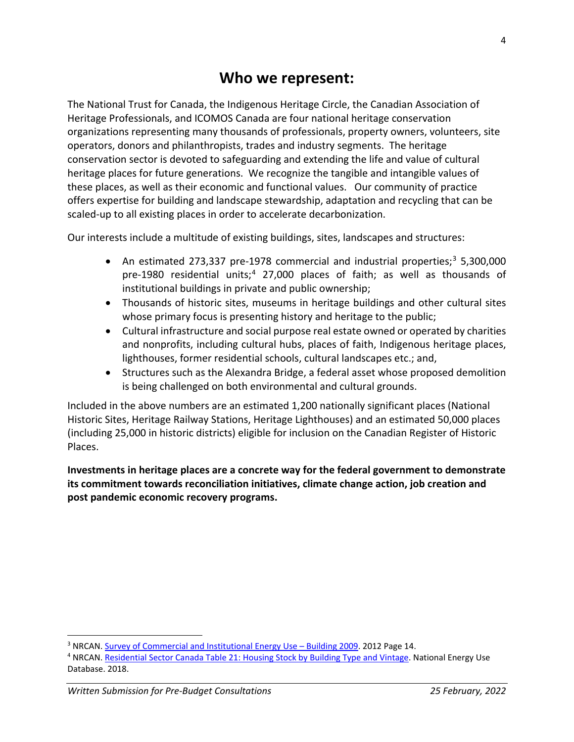### **Who we represent:**

The National Trust for Canada, the Indigenous Heritage Circle, the Canadian Association of Heritage Professionals, and ICOMOS Canada are four national heritage conservation organizations representing many thousands of professionals, property owners, volunteers, site operators, donors and philanthropists, trades and industry segments. The heritage conservation sector is devoted to safeguarding and extending the life and value of cultural heritage places for future generations. We recognize the tangible and intangible values of these places, as well as their economic and functional values. Our community of practice offers expertise for building and landscape stewardship, adaptation and recycling that can be scaled-up to all existing places in order to accelerate decarbonization.

Our interests include a multitude of existing buildings, sites, landscapes and structures:

- An estimated 27[3](#page-3-0),337 pre-1978 commercial and industrial properties;<sup>3</sup> 5,300,000 pre-1980 residential units; [4](#page-3-1) 27,000 places of faith; as well as thousands of institutional buildings in private and public ownership;
- Thousands of historic sites, museums in heritage buildings and other cultural sites whose primary focus is presenting history and heritage to the public;
- Cultural infrastructure and social purpose real estate owned or operated by charities and nonprofits, including cultural hubs, places of faith, Indigenous heritage places, lighthouses, former residential schools, cultural landscapes etc.; and,
- Structures such as the Alexandra Bridge, a federal asset whose proposed demolition is being challenged on both environmental and cultural grounds.

Included in the above numbers are an estimated 1,200 nationally significant places (National Historic Sites, Heritage Railway Stations, Heritage Lighthouses) and an estimated 50,000 places (including 25,000 in historic districts) eligible for inclusion on the Canadian Register of Historic Places.

**Investments in heritage places are a concrete way for the federal government to demonstrate its commitment towards reconciliation initiatives, climate change action, job creation and post pandemic economic recovery programs.** 

<span id="page-3-0"></span><sup>&</sup>lt;sup>3</sup> NRCAN. [Survey of Commercial and Institutional Energy Use –](https://oee.nrcan.gc.ca/publications/statistics/scieu/2009/pdf/scieu2009.pdf/) Building 2009. 2012 Page 14.

<span id="page-3-1"></span><sup>4</sup> NRCAN. [Residential Sector Canada Table 21: Housing Stock by Building Type and Vintage.](https://oee.nrcan.gc.ca/corporate/statistics/neud/dpa/showTable.cfm?type=CP§or=res&juris=ca&rn=21&page=0) National Energy Use Database. 2018.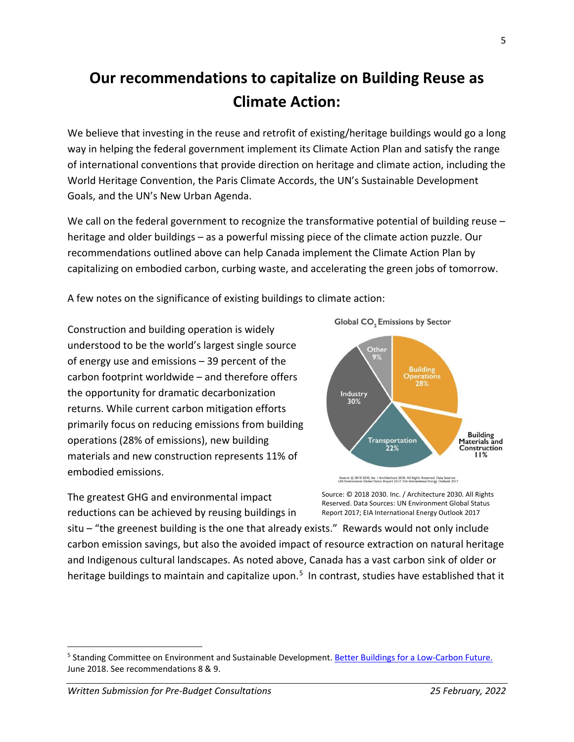## **Our recommendations to capitalize on Building Reuse as Climate Action:**

We believe that investing in the reuse and retrofit of existing/heritage buildings would go a long way in helping the federal government implement its Climate Action Plan and satisfy the range of international conventions that provide direction on heritage and climate action, including the World Heritage Convention, the Paris Climate Accords, the UN's Sustainable Development Goals, and the UN's New Urban Agenda.

We call on the federal government to recognize the transformative potential of building reuse heritage and older buildings – as a powerful missing piece of the climate action puzzle. Our recommendations outlined above can help Canada implement the Climate Action Plan by capitalizing on embodied carbon, curbing waste, and accelerating the green jobs of tomorrow.

A few notes on the significance of existing buildings to climate action:

Construction and building operation is widely understood to be the world's largest single source of energy use and emissions – 39 percent of the carbon footprint worldwide – and therefore offers the opportunity for dramatic decarbonization returns. While current carbon mitigation efforts primarily focus on reducing emissions from building operations (28% of emissions), new building materials and new construction represents 11% of embodied emissions.

The greatest GHG and environmental impact reductions can be achieved by reusing buildings in





Source: @ 2018 2030, Inc. / Architecture 2030. All Rights Reserved. Data Sources:<br>UN Environment Global Status Report 2017; EIA International Energy Outlook 2017

Source: © 2018 2030. Inc. / Architecture 2030. All Rights Reserved. Data Sources: UN Environment Global Status Report 2017; EIA International Energy Outlook 2017

situ – "the greenest building is the one that already exists." Rewards would not only include carbon emission savings, but also the avoided impact of resource extraction on natural heritage and Indigenous cultural landscapes. As noted above, Canada has a vast carbon sink of older or heritage buildings to maintain and capitalize upon.<sup>[5](#page-4-0)</sup> In contrast, studies have established that it

<span id="page-4-0"></span><sup>5</sup> Standing Committee on Environment and Sustainable Development. [Better Buildings for a Low-Carbon Future.](https://www.ourcommons.ca/Content/Committee/421/ENVI/Reports/RP9989842/envirp17/envirp17-e.pdf) June 2018. See recommendations 8 & 9.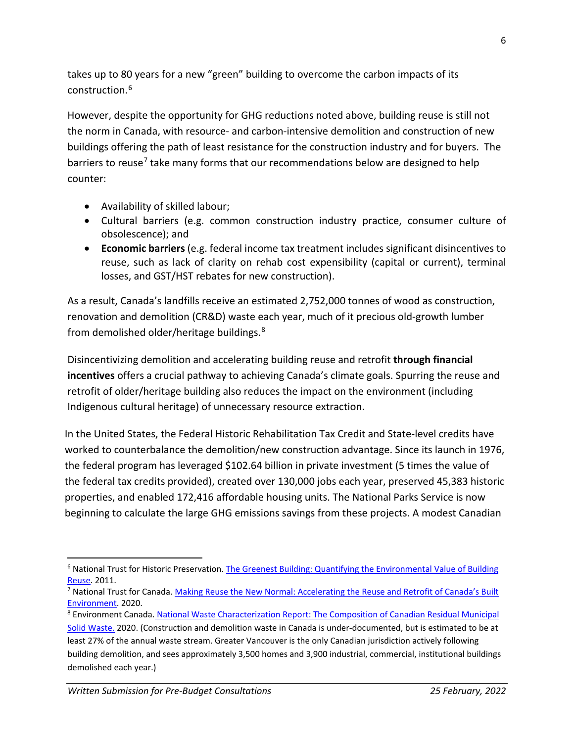takes up to 80 years for a new "green" building to overcome the carbon impacts of its construction.[6](#page-5-0)

However, despite the opportunity for GHG reductions noted above, building reuse is still not the norm in Canada, with resource- and carbon-intensive demolition and construction of new buildings offering the path of least resistance for the construction industry and for buyers. The barriers to reuse<sup>[7](#page-5-1)</sup> take many forms that our recommendations below are designed to help counter:

- Availability of skilled labour;
- Cultural barriers (e.g. common construction industry practice, consumer culture of obsolescence); and
- **Economic barriers** (e.g. federal income tax treatment includes significant disincentives to reuse, such as lack of clarity on rehab cost expensibility (capital or current), terminal losses, and GST/HST rebates for new construction).

As a result, Canada's landfills receive an estimated 2,752,000 tonnes of wood as construction, renovation and demolition (CR&D) waste each year, much of it precious old-growth lumber from demolished older/heritage buildings.[8](#page-5-2)

Disincentivizing demolition and accelerating building reuse and retrofit **through financial incentives** offers a crucial pathway to achieving Canada's climate goals. Spurring the reuse and retrofit of older/heritage building also reduces the impact on the environment (including Indigenous cultural heritage) of unnecessary resource extraction.

In the United States, the Federal Historic Rehabilitation Tax Credit and State-level credits have worked to counterbalance the demolition/new construction advantage. Since its launch in 1976, the federal program has leveraged \$102.64 billion in private investment (5 times the value of the federal tax credits provided), created over 130,000 jobs each year, preserved 45,383 historic properties, and enabled 172,416 affordable housing units. The National Parks Service is now beginning to calculate the large GHG emissions savings from these projects. A modest Canadian

<span id="page-5-0"></span><sup>&</sup>lt;sup>6</sup> National Trust for Historic Preservation. The Greenest Building: Quantifying the Environmental Value of Building [Reuse.](https://living-future.org/wp-content/uploads/2016/11/The_Greenest_Building.pdf) 2011.

<span id="page-5-1"></span><sup>7</sup> National Trust for Canada[. Making Reuse the New Normal: Accelerating the Reuse and Retrofit of Canada's Built](https://regenerationworks.ca/wp-content/uploads/2020/12/E_Making-Reuse-the-New-Normal-Report-FINALV2.pdf)  [Environment.](https://regenerationworks.ca/wp-content/uploads/2020/12/E_Making-Reuse-the-New-Normal-Report-FINALV2.pdf) 2020.<br><sup>8</sup> Environment Canada. National Waste Characterization Report: The Composition of Canadian Residual Municipal

<span id="page-5-2"></span>[Solid Waste.](https://publications.gc.ca/collections/collection_2020/eccc/en14/En14-405-2020-eng.pdf) 2020. (Construction and demolition waste in Canada is under-documented, but is estimated to be at least 27% of the annual waste stream. Greater Vancouver is the only Canadian jurisdiction actively following building demolition, and sees approximately 3,500 homes and 3,900 industrial, commercial, institutional buildings demolished each year.)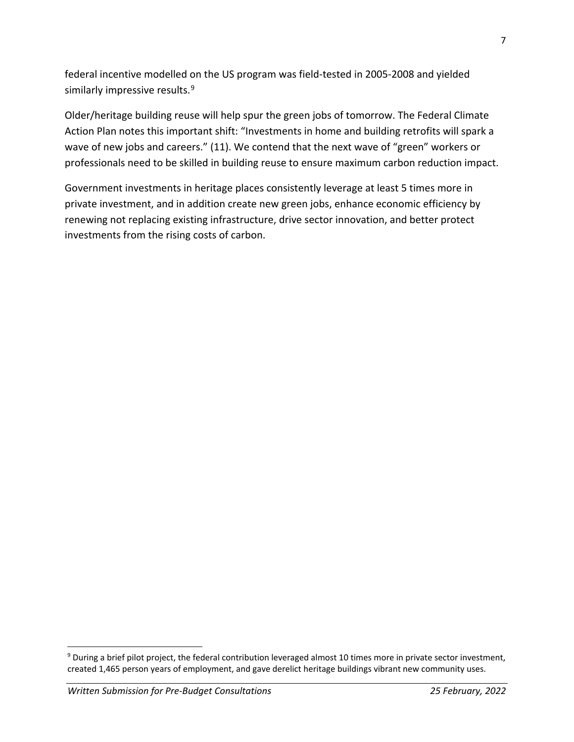federal incentive modelled on the US program was field-tested in 2005-2008 and yielded similarly impressive results. [9](#page-6-0)

Older/heritage building reuse will help spur the green jobs of tomorrow. The Federal Climate Action Plan notes this important shift: "Investments in home and building retrofits will spark a wave of new jobs and careers." (11). We contend that the next wave of "green" workers or professionals need to be skilled in building reuse to ensure maximum carbon reduction impact.

Government investments in heritage places consistently leverage at least 5 times more in private investment, and in addition create new green jobs, enhance economic efficiency by renewing not replacing existing infrastructure, drive sector innovation, and better protect investments from the rising costs of carbon.

<span id="page-6-0"></span><sup>9</sup> During a brief pilot project, the federal contribution leveraged almost 10 times more in private sector investment, created 1,465 person years of employment, and gave derelict heritage buildings vibrant new community uses.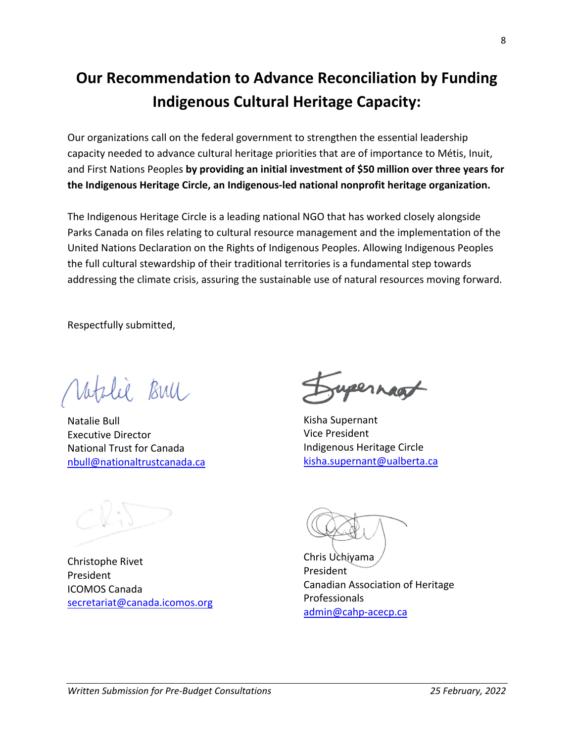## **Our Recommendation to Advance Reconciliation by Funding Indigenous Cultural Heritage Capacity:**

Our organizations call on the federal government to strengthen the essential leadership capacity needed to advance cultural heritage priorities that are of importance to Métis, Inuit, and First Nations Peoples **by providing an initial investment of \$50 million over three years for the Indigenous Heritage Circle, an Indigenous-led national nonprofit heritage organization.** 

The Indigenous Heritage Circle is a leading national NGO that has worked closely alongside Parks Canada on files relating to cultural resource management and the implementation of the United Nations Declaration on the Rights of Indigenous Peoples. Allowing Indigenous Peoples the full cultural stewardship of their traditional territories is a fundamental step towards addressing the climate crisis, assuring the sustainable use of natural resources moving forward.

Respectfully submitted,

Lee Bull

Natalie Bull Executive Director National Trust for Canada [nbull@nationaltrustcanada.ca](mailto:nbull@nationaltrustcanada.ca)

Christophe Rivet President ICOMOS Canada [secretariat@canada.icomos.org](mailto:secretariat@canada.icomos.org)

ypernaat

Kisha Supernant Vice President Indigenous Heritage Circle [kisha.supernant@ualberta.ca](mailto:kisha.supernant@ualberta.ca)

Chris Uchiyama President Canadian Association of Heritage Professionals [admin@cahp-acecp.ca](mailto:admin@cahp-acecp.ca)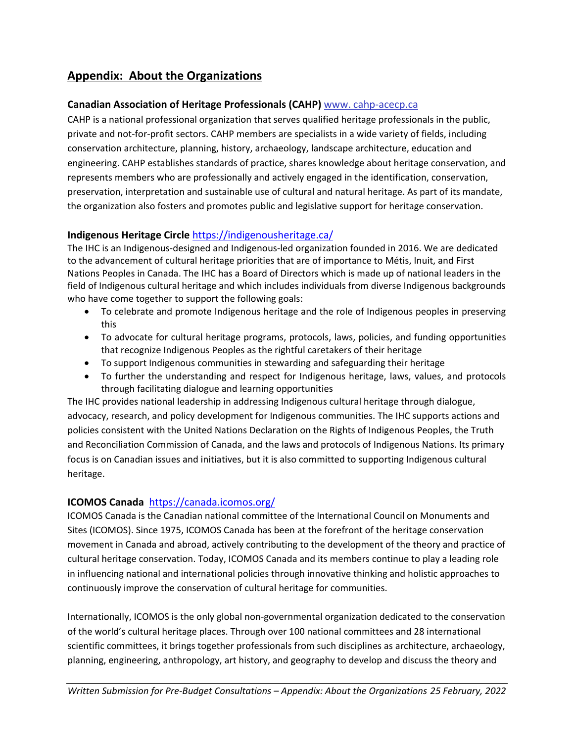### **Appendix: About the Organizations**

#### **Canadian Association of Heritage Professionals (CAHP)** www. cahp-acecp.ca

CAHP is a national professional organization that serves qualified heritage professionals in the public, private and not-for-profit sectors. CAHP members are specialists in a wide variety of fields, including conservation architecture, planning, history, archaeology, landscape architecture, education and engineering. CAHP establishes standards of practice, shares knowledge about heritage conservation, and represents members who are professionally and actively engaged in the identification, conservation, preservation, interpretation and sustainable use of cultural and natural heritage. As part of its mandate, the organization also fosters and promotes public and legislative support for heritage conservation.

### **Indigenous Heritage Circle** <https://indigenousheritage.ca/>

The IHC is an Indigenous-designed and Indigenous-led organization founded in 2016. We are dedicated to the advancement of cultural heritage priorities that are of importance to Métis, Inuit, and First Nations Peoples in Canada. The IHC has a Board of Directors which is made up of national leaders in the field of Indigenous cultural heritage and which includes individuals from diverse Indigenous backgrounds who have come together to support the following goals:

- To celebrate and promote Indigenous heritage and the role of Indigenous peoples in preserving this
- To advocate for cultural heritage programs, protocols, laws, policies, and funding opportunities that recognize Indigenous Peoples as the rightful caretakers of their heritage
- To support Indigenous communities in stewarding and safeguarding their heritage
- To further the understanding and respect for Indigenous heritage, laws, values, and protocols through facilitating dialogue and learning opportunities

The IHC provides national leadership in addressing Indigenous cultural heritage through dialogue, advocacy, research, and policy development for Indigenous communities. The IHC supports actions and policies consistent with the United Nations Declaration on the Rights of Indigenous Peoples, the Truth and Reconciliation Commission of Canada, and the laws and protocols of Indigenous Nations. Its primary focus is on Canadian issues and initiatives, but it is also committed to supporting Indigenous cultural heritage.

### **ICOMOS Canada** <https://canada.icomos.org/>

ICOMOS Canada is the Canadian national committee of the International Council on Monuments and Sites (ICOMOS). Since 1975, ICOMOS Canada has been at the forefront of the heritage conservation movement in Canada and abroad, actively contributing to the development of the theory and practice of cultural heritage conservation. Today, ICOMOS Canada and its members continue to play a leading role in influencing national and international policies through innovative thinking and holistic approaches to continuously improve the conservation of cultural heritage for communities.

Internationally, ICOMOS is the only global non-governmental organization dedicated to the conservation of the world's cultural heritage places. Through over 100 national committees and 28 international scientific committees, it brings together professionals from such disciplines as architecture, archaeology, planning, engineering, anthropology, art history, and geography to develop and discuss the theory and